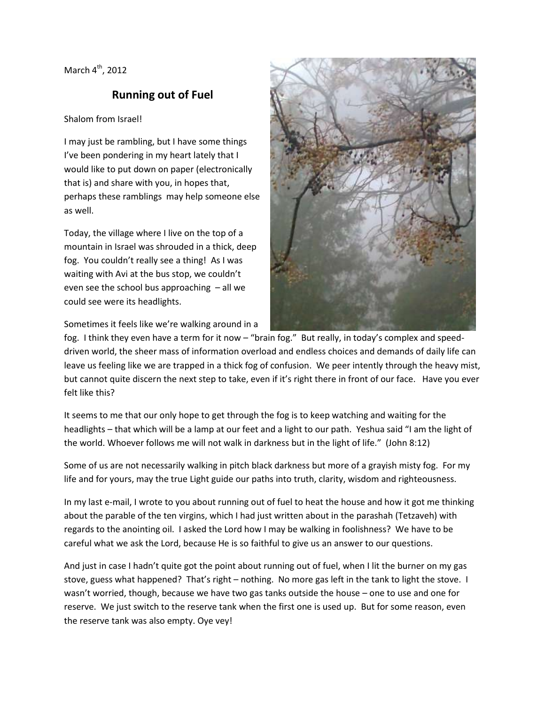March  $4^{\text{th}}$ , 2012

## **Running out of Fuel**

## Shalom from Israel!

I may just be rambling, but I have some things I've been pondering in my heart lately that I would like to put down on paper (electronically that is) and share with you, in hopes that, perhaps these ramblings may help someone else as well.

Today, the village where I live on the top of a mountain in Israel was shrouded in a thick, deep fog. You couldn't really see a thing! As I was waiting with Avi at the bus stop, we couldn't even see the school bus approaching – all we could see were its headlights.

Sometimes it feels like we're walking around in a



fog. I think they even have a term for it now – "brain fog." But really, in today's complex and speeddriven world, the sheer mass of information overload and endless choices and demands of daily life can leave us feeling like we are trapped in a thick fog of confusion. We peer intently through the heavy mist, but cannot quite discern the next step to take, even if it's right there in front of our face. Have you ever felt like this?

It seems to me that our only hope to get through the fog is to keep watching and waiting for the headlights – that which will be a lamp at our feet and a light to our path. Yeshua said "I am the light of the world. Whoever follows me will not walk in darkness but in the light of life." (John 8:12)

Some of us are not necessarily walking in pitch black darkness but more of a grayish misty fog. For my life and for yours, may the true Light guide our paths into truth, clarity, wisdom and righteousness.

In my last e-mail, I wrote to you about running out of fuel to heat the house and how it got me thinking about the parable of the ten virgins, which I had just written about in the parashah (Tetzaveh) with regards to the anointing oil. I asked the Lord how I may be walking in foolishness? We have to be careful what we ask the Lord, because He is so faithful to give us an answer to our questions.

And just in case I hadn't quite got the point about running out of fuel, when I lit the burner on my gas stove, guess what happened? That's right – nothing. No more gas left in the tank to light the stove. I wasn't worried, though, because we have two gas tanks outside the house – one to use and one for reserve. We just switch to the reserve tank when the first one is used up. But for some reason, even the reserve tank was also empty. Oye vey!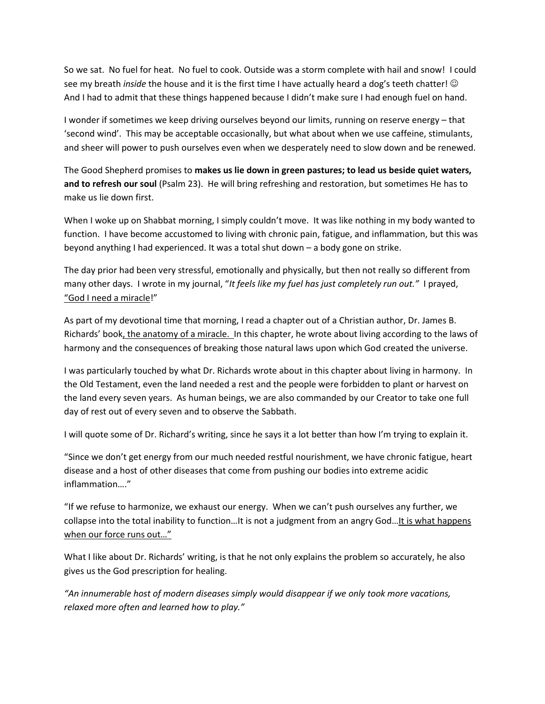So we sat. No fuel for heat. No fuel to cook. Outside was a storm complete with hail and snow! I could see my breath *inside* the house and it is the first time I have actually heard a dog's teeth chatter! And I had to admit that these things happened because I didn't make sure I had enough fuel on hand.

I wonder if sometimes we keep driving ourselves beyond our limits, running on reserve energy – that 'second wind'. This may be acceptable occasionally, but what about when we use caffeine, stimulants, and sheer will power to push ourselves even when we desperately need to slow down and be renewed.

The Good Shepherd promises to **makes us lie down in green pastures; to lead us beside quiet waters, and to refresh our soul** (Psalm 23). He will bring refreshing and restoration, but sometimes He has to make us lie down first.

When I woke up on Shabbat morning, I simply couldn't move. It was like nothing in my body wanted to function. I have become accustomed to living with chronic pain, fatigue, and inflammation, but this was beyond anything I had experienced. It was a total shut down – a body gone on strike.

The day prior had been very stressful, emotionally and physically, but then not really so different from many other days. I wrote in my journal, "*It feels like my fuel has just completely run out."* I prayed, "God I need a miracle!"

As part of my devotional time that morning, I read a chapter out of a Christian author, Dr. James B. Richards' book, the anatomy of a miracle. In this chapter, he wrote about living according to the laws of harmony and the consequences of breaking those natural laws upon which God created the universe.

I was particularly touched by what Dr. Richards wrote about in this chapter about living in harmony. In the Old Testament, even the land needed a rest and the people were forbidden to plant or harvest on the land every seven years. As human beings, we are also commanded by our Creator to take one full day of rest out of every seven and to observe the Sabbath.

I will quote some of Dr. Richard's writing, since he says it a lot better than how I'm trying to explain it.

"Since we don't get energy from our much needed restful nourishment, we have chronic fatigue, heart disease and a host of other diseases that come from pushing our bodies into extreme acidic inflammation…."

"If we refuse to harmonize, we exhaust our energy. When we can't push ourselves any further, we collapse into the total inability to function…It is not a judgment from an angry God…It is what happens when our force runs out…"

What I like about Dr. Richards' writing, is that he not only explains the problem so accurately, he also gives us the God prescription for healing.

*"An innumerable host of modern diseases simply would disappear if we only took more vacations, relaxed more often and learned how to play."*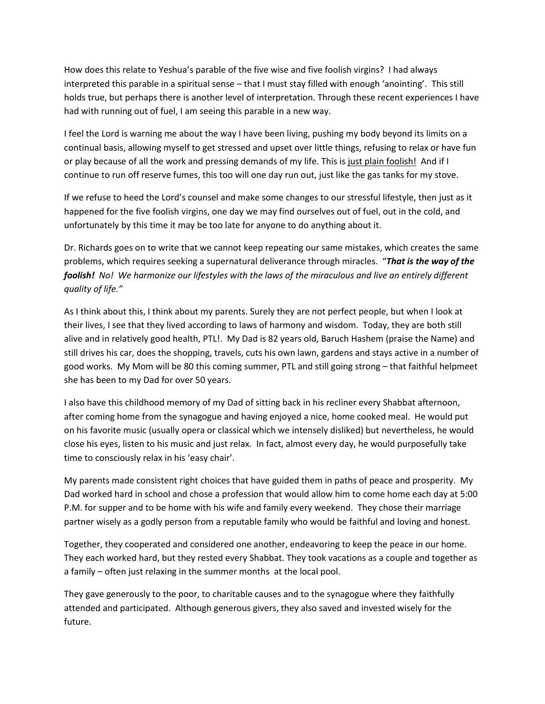How does this relate to Yeshua's parable of the five wise and five foolish virgins? I had always interpreted this parable in a spiritual sense – that I must stay filled with enough 'anointing'. This still holds true, but perhaps there is another level of interpretation. Through these recent experiences I have had with running out of fuel, I am seeing this parable in a new way.

I feel the Lord is warning me about the way I have been living, pushing my body beyond its limits on a continual basis, allowing myself to get stressed and upset over little things, refusing to relax or have fun or play because of all the work and pressing demands of my life. This is just plain foolish! And if I continue to run off reserve fumes, this too will one day run out, just like the gas tanks for my stove.

If we refuse to heed the Lord's counsel and make some changes to our stressful lifestyle, then just as it happened for the five foolish virgins, one day we may find ourselves out of fuel, out in the cold, and unfortunately by this time it may be too late for anyone to do anything about it.

Dr. Richards goes on to write that we cannot keep repeating our same mistakes, which creates the same problems, which requires seeking a supernatural deliverance through miracles. "*That is the way of the foolish! No! We harmonize our lifestyles with the laws of the miraculous and live an entirely different quality of life."*

As I think about this, I think about my parents. Surely they are not perfect people, but when I look at their lives, I see that they lived according to laws of harmony and wisdom. Today, they are both still alive and in relatively good health, PTL!. My Dad is 82 years old, Baruch Hashem (praise the Name) and still drives his car, does the shopping, travels, cuts his own lawn, gardens and stays active in a number of good works. My Mom will be 80 this coming summer, PTL and still going strong – that faithful helpmeet she has been to my Dad for over 50 years.

I also have this childhood memory of my Dad of sitting back in his recliner every Shabbat afternoon, after coming home from the synagogue and having enjoyed a nice, home cooked meal. He would put on his favorite music (usually opera or classical which we intensely disliked) but nevertheless, he would close his eyes, listen to his music and just relax. In fact, almost every day, he would purposefully take time to consciously relax in his 'easy chair'.

My parents made consistent right choices that have guided them in paths of peace and prosperity. My Dad worked hard in school and chose a profession that would allow him to come home each day at 5:00 P.M. for supper and to be home with his wife and family every weekend. They chose their marriage partner wisely as a godly person from a reputable family who would be faithful and loving and honest.

Together, they cooperated and considered one another, endeavoring to keep the peace in our home. They each worked hard, but they rested every Shabbat. They took vacations as a couple and together as a family – often just relaxing in the summer months at the local pool.

They gave generously to the poor, to charitable causes and to the synagogue where they faithfully attended and participated. Although generous givers, they also saved and invested wisely for the future.